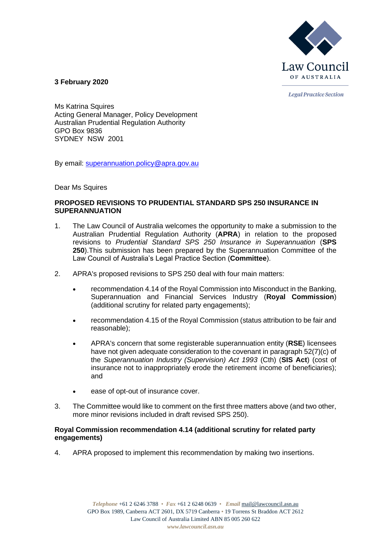

**Legal Practice Section** 

**3 February 2020**

Ms Katrina Squires Acting General Manager, Policy Development Australian Prudential Regulation Authority GPO Box 9836 SYDNEY NSW 2001

By email: [superannuation.policy@apra.gov.au](mailto:superannuation.policy@apra.gov.au)

Dear Ms Squires

# **PROPOSED REVISIONS TO PRUDENTIAL STANDARD SPS 250 INSURANCE IN SUPERANNUATION**

- 1. The Law Council of Australia welcomes the opportunity to make a submission to the Australian Prudential Regulation Authority (**APRA**) in relation to the proposed revisions to *Prudential Standard SPS 250 Insurance in Superannuation* (**SPS 250**).This submission has been prepared by the Superannuation Committee of the Law Council of Australia's Legal Practice Section (**Committee**).
- 2. APRA's proposed revisions to SPS 250 deal with four main matters:
	- recommendation 4.14 of the Royal Commission into Misconduct in the Banking, Superannuation and Financial Services Industry (**Royal Commission**) (additional scrutiny for related party engagements);
	- recommendation 4.15 of the Royal Commission (status attribution to be fair and reasonable);
	- APRA's concern that some registerable superannuation entity (**RSE**) licensees have not given adequate consideration to the covenant in paragraph 52(7)(c) of the *Superannuation Industry (Supervision) Act 1993* (Cth) (**SIS Act**) (cost of insurance not to inappropriately erode the retirement income of beneficiaries); and
	- ease of opt-out of insurance cover.
- 3. The Committee would like to comment on the first three matters above (and two other, more minor revisions included in draft revised SPS 250).

## **Royal Commission recommendation 4.14 (additional scrutiny for related party engagements)**

4. APRA proposed to implement this recommendation by making two insertions.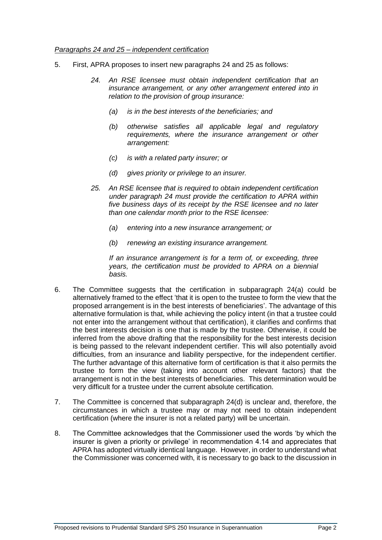### *Paragraphs 24 and 25 – independent certification*

- 5. First, APRA proposes to insert new paragraphs 24 and 25 as follows:
	- *24. An RSE licensee must obtain independent certification that an insurance arrangement, or any other arrangement entered into in relation to the provision of group insurance:*
		- *(a) is in the best interests of the beneficiaries; and*
		- *(b) otherwise satisfies all applicable legal and regulatory requirements, where the insurance arrangement or other arrangement:*
		- *(c) is with a related party insurer; or*
		- *(d) gives priority or privilege to an insurer.*
	- *25. An RSE licensee that is required to obtain independent certification under paragraph 24 must provide the certification to APRA within five business days of its receipt by the RSE licensee and no later than one calendar month prior to the RSE licensee:*
		- *(a) entering into a new insurance arrangement; or*
		- *(b) renewing an existing insurance arrangement.*

*If an insurance arrangement is for a term of, or exceeding, three years, the certification must be provided to APRA on a biennial basis.*

- 6. The Committee suggests that the certification in subparagraph 24(a) could be alternatively framed to the effect 'that it is open to the trustee to form the view that the proposed arrangement is in the best interests of beneficiaries'. The advantage of this alternative formulation is that, while achieving the policy intent (in that a trustee could not enter into the arrangement without that certification), it clarifies and confirms that the best interests decision is one that is made by the trustee. Otherwise, it could be inferred from the above drafting that the responsibility for the best interests decision is being passed to the relevant independent certifier. This will also potentially avoid difficulties, from an insurance and liability perspective, for the independent certifier. The further advantage of this alternative form of certification is that it also permits the trustee to form the view (taking into account other relevant factors) that the arrangement is not in the best interests of beneficiaries. This determination would be very difficult for a trustee under the current absolute certification.
- 7. The Committee is concerned that subparagraph 24(d) is unclear and, therefore, the circumstances in which a trustee may or may not need to obtain independent certification (where the insurer is not a related party) will be uncertain.
- 8. The Committee acknowledges that the Commissioner used the words 'by which the insurer is given a priority or privilege' in recommendation 4.14 and appreciates that APRA has adopted virtually identical language. However, in order to understand what the Commissioner was concerned with, it is necessary to go back to the discussion in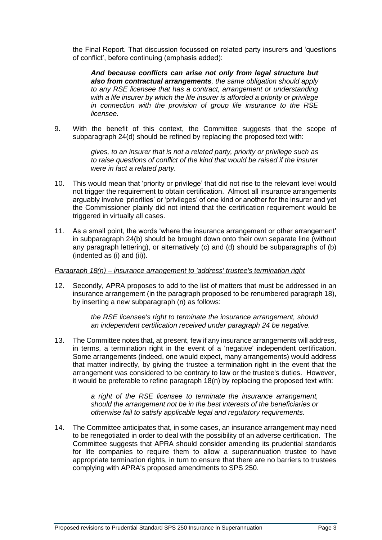the Final Report. That discussion focussed on related party insurers and 'questions of conflict', before continuing (emphasis added):

*And because conflicts can arise not only from legal structure but also from contractual arrangements, the same obligation should apply to any RSE licensee that has a contract, arrangement or understanding with a life insurer by which the life insurer is afforded a priority or privilege in connection with the provision of group life insurance to the RSE licensee.*

9. With the benefit of this context, the Committee suggests that the scope of subparagraph 24(d) should be refined by replacing the proposed text with:

> *gives, to an insurer that is not a related party, priority or privilege such as to raise questions of conflict of the kind that would be raised if the insurer were in fact a related party.*

- 10. This would mean that 'priority or privilege' that did not rise to the relevant level would not trigger the requirement to obtain certification. Almost all insurance arrangements arguably involve 'priorities' or 'privileges' of one kind or another for the insurer and yet the Commissioner plainly did not intend that the certification requirement would be triggered in virtually all cases.
- 11. As a small point, the words 'where the insurance arrangement or other arrangement' in subparagraph 24(b) should be brought down onto their own separate line (without any paragraph lettering), or alternatively (c) and (d) should be subparagraphs of (b) (indented as (i) and (ii)).

## *Paragraph 18(n) – insurance arrangement to 'address' trustee's termination right*

12. Secondly, APRA proposes to add to the list of matters that must be addressed in an insurance arrangement (in the paragraph proposed to be renumbered paragraph 18), by inserting a new subparagraph (n) as follows:

> *the RSE licensee's right to terminate the insurance arrangement, should an independent certification received under paragraph 24 be negative.*

13. The Committee notes that, at present, few if any insurance arrangements will address, in terms, a termination right in the event of a 'negative' independent certification. Some arrangements (indeed, one would expect, many arrangements) would address that matter indirectly, by giving the trustee a termination right in the event that the arrangement was considered to be contrary to law or the trustee's duties. However, it would be preferable to refine paragraph 18(n) by replacing the proposed text with:

> *a right of the RSE licensee to terminate the insurance arrangement, should the arrangement not be in the best interests of the beneficiaries or otherwise fail to satisfy applicable legal and regulatory requirements.*

14. The Committee anticipates that, in some cases, an insurance arrangement may need to be renegotiated in order to deal with the possibility of an adverse certification. The Committee suggests that APRA should consider amending its prudential standards for life companies to require them to allow a superannuation trustee to have appropriate termination rights, in turn to ensure that there are no barriers to trustees complying with APRA's proposed amendments to SPS 250.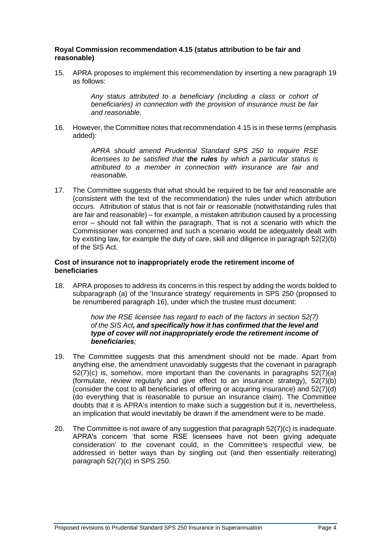## **Royal Commission recommendation 4.15 (status attribution to be fair and reasonable)**

15. APRA proposes to implement this recommendation by inserting a new paragraph 19 as follows:

> *Any status attributed to a beneficiary (including a class or cohort of beneficiaries) in connection with the provision of insurance must be fair and reasonable.*

16. However, the Committee notes that recommendation 4.15 is in these terms (emphasis added):

> *APRA should amend Prudential Standard SPS 250 to require RSE licensees to be satisfied that the rules by which a particular status is attributed to a member in connection with insurance are fair and reasonable.*

17. The Committee suggests that what should be required to be fair and reasonable are (consistent with the text of the recommendation) the rules under which attribution occurs. Attribution of status that is not fair or reasonable (notwithstanding rules that are fair and reasonable) – for example, a mistaken attribution caused by a processing error – should not fall within the paragraph. That is not a scenario with which the Commissioner was concerned and such a scenario would be adequately dealt with by existing law, for example the duty of care, skill and diligence in paragraph 52(2)(b) of the SIS Act.

## **Cost of insurance not to inappropriately erode the retirement income of beneficiaries**

18. APRA proposes to address its concerns in this respect by adding the words bolded to subparagraph (a) of the 'Insurance strategy' requirements in SPS 250 (proposed to be renumbered paragraph 16), under which the trustee must document:

> *how the RSE licensee has regard to each of the factors in section 52(7) of the SIS Act, and specifically how it has confirmed that the level and type of cover will not inappropriately erode the retirement income of beneficiaries;*

- 19. The Committee suggests that this amendment should not be made. Apart from anything else, the amendment unavoidably suggests that the covenant in paragraph 52(7)(c) is, somehow, more important than the covenants in paragraphs 52(7)(a) (formulate, review regularly and give effect to an insurance strategy), 52(7)(b) (consider the cost to all beneficiaries of offering or acquiring insurance) and 52(7)(d) (do everything that is reasonable to pursue an insurance claim). The Committee doubts that it is APRA's intention to make such a suggestion but it is, nevertheless, an implication that would inevitably be drawn if the amendment were to be made.
- 20. The Committee is not aware of any suggestion that paragraph 52(7)(c) is inadequate. APRA's concern 'that some RSE licensees have not been giving adequate consideration' to the covenant could, in the Committee's respectful view, be addressed in better ways than by singling out (and then essentially reiterating) paragraph 52(7)(c) in SPS 250.